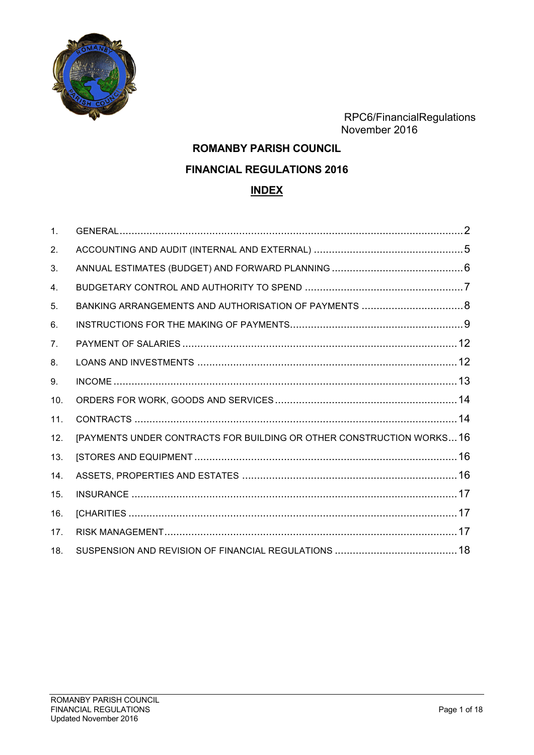

 RPC6/FinancialRegulations November 2016

# **ROMANBY PARISH COUNCIL FINANCIAL REGULATIONS 2016 INDEX**

| $\mathbf{1}$ . |                                                                      |  |
|----------------|----------------------------------------------------------------------|--|
| 2.             |                                                                      |  |
| 3.             |                                                                      |  |
| 4.             |                                                                      |  |
| 5.             |                                                                      |  |
| 6.             |                                                                      |  |
| 7 <sub>1</sub> |                                                                      |  |
| 8.             |                                                                      |  |
| 9.             |                                                                      |  |
| 10.            |                                                                      |  |
| 11.            |                                                                      |  |
| 12.            | [PAYMENTS UNDER CONTRACTS FOR BUILDING OR OTHER CONSTRUCTION WORKS16 |  |
| 13.            |                                                                      |  |
| 14.            |                                                                      |  |
| 15.            |                                                                      |  |
| 16.            |                                                                      |  |
| 17.            |                                                                      |  |
| 18.            |                                                                      |  |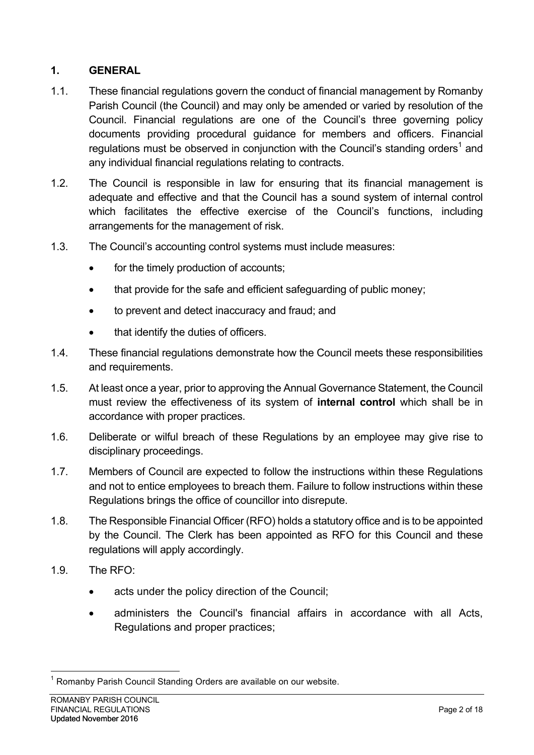## **1. GENERAL**

- 1.1. These financial regulations govern the conduct of financial management by Romanby Parish Council (the Council) and may only be amended or varied by resolution of the Council. Financial regulations are one of the Council's three governing policy documents providing procedural guidance for members and officers. Financial regulations must be observed in conjunction with the Council's standing orders<sup>1</sup> and any individual financial regulations relating to contracts.
- 1.2. The Council is responsible in law for ensuring that its financial management is adequate and effective and that the Council has a sound system of internal control which facilitates the effective exercise of the Council's functions, including arrangements for the management of risk.
- 1.3. The Council's accounting control systems must include measures:
	- for the timely production of accounts;
	- that provide for the safe and efficient safeguarding of public money;
	- to prevent and detect inaccuracy and fraud; and
	- that identify the duties of officers.
- 1.4. These financial regulations demonstrate how the Council meets these responsibilities and requirements.
- 1.5. At least once a year, prior to approving the Annual Governance Statement, the Council must review the effectiveness of its system of **internal control** which shall be in accordance with proper practices.
- 1.6. Deliberate or wilful breach of these Regulations by an employee may give rise to disciplinary proceedings.
- 1.7. Members of Council are expected to follow the instructions within these Regulations and not to entice employees to breach them. Failure to follow instructions within these Regulations brings the office of councillor into disrepute.
- 1.8. The Responsible Financial Officer (RFO) holds a statutory office and is to be appointed by the Council. The Clerk has been appointed as RFO for this Council and these regulations will apply accordingly.
- 1.9. The RFO:
	- acts under the policy direction of the Council:
	- administers the Council's financial affairs in accordance with all Acts, Regulations and proper practices;

 <sup>1</sup> Romanby Parish Council Standing Orders are available on our website.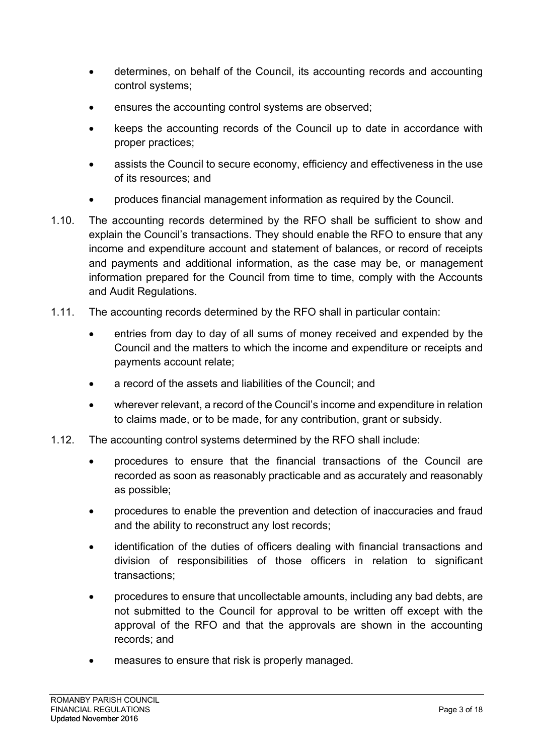- determines, on behalf of the Council, its accounting records and accounting control systems;
- ensures the accounting control systems are observed;
- keeps the accounting records of the Council up to date in accordance with proper practices;
- assists the Council to secure economy, efficiency and effectiveness in the use of its resources; and
- produces financial management information as required by the Council.
- 1.10. The accounting records determined by the RFO shall be sufficient to show and explain the Council's transactions. They should enable the RFO to ensure that any income and expenditure account and statement of balances, or record of receipts and payments and additional information, as the case may be, or management information prepared for the Council from time to time, comply with the Accounts and Audit Regulations.
- 1.11. The accounting records determined by the RFO shall in particular contain:
	- entries from day to day of all sums of money received and expended by the Council and the matters to which the income and expenditure or receipts and payments account relate;
	- a record of the assets and liabilities of the Council; and
	- wherever relevant, a record of the Council's income and expenditure in relation to claims made, or to be made, for any contribution, grant or subsidy.
- 1.12. The accounting control systems determined by the RFO shall include:
	- procedures to ensure that the financial transactions of the Council are recorded as soon as reasonably practicable and as accurately and reasonably as possible;
	- procedures to enable the prevention and detection of inaccuracies and fraud and the ability to reconstruct any lost records;
	- identification of the duties of officers dealing with financial transactions and division of responsibilities of those officers in relation to significant transactions;
	- procedures to ensure that uncollectable amounts, including any bad debts, are not submitted to the Council for approval to be written off except with the approval of the RFO and that the approvals are shown in the accounting records; and
	- measures to ensure that risk is properly managed.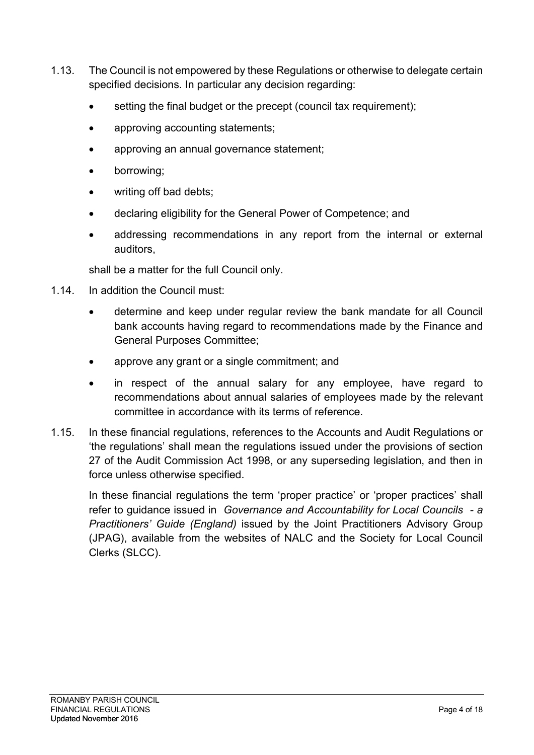- 1.13. The Council is not empowered by these Regulations or otherwise to delegate certain specified decisions. In particular any decision regarding:
	- setting the final budget or the precept (council tax requirement):
	- approving accounting statements;
	- approving an annual governance statement;
	- borrowing;
	- writing off bad debts;
	- declaring eligibility for the General Power of Competence; and
	- addressing recommendations in any report from the internal or external auditors,

shall be a matter for the full Council only.

- 1.14. In addition the Council must:
	- determine and keep under regular review the bank mandate for all Council bank accounts having regard to recommendations made by the Finance and General Purposes Committee;
	- approve any grant or a single commitment; and
	- in respect of the annual salary for any employee, have regard to recommendations about annual salaries of employees made by the relevant committee in accordance with its terms of reference.
- 1.15. In these financial regulations, references to the Accounts and Audit Regulations or 'the regulations' shall mean the regulations issued under the provisions of section 27 of the Audit Commission Act 1998, or any superseding legislation, and then in force unless otherwise specified.

In these financial regulations the term 'proper practice' or 'proper practices' shall refer to guidance issued in *Governance and Accountability for Local Councils - a Practitioners' Guide (England)* issued by the Joint Practitioners Advisory Group (JPAG), available from the websites of NALC and the Society for Local Council Clerks (SLCC).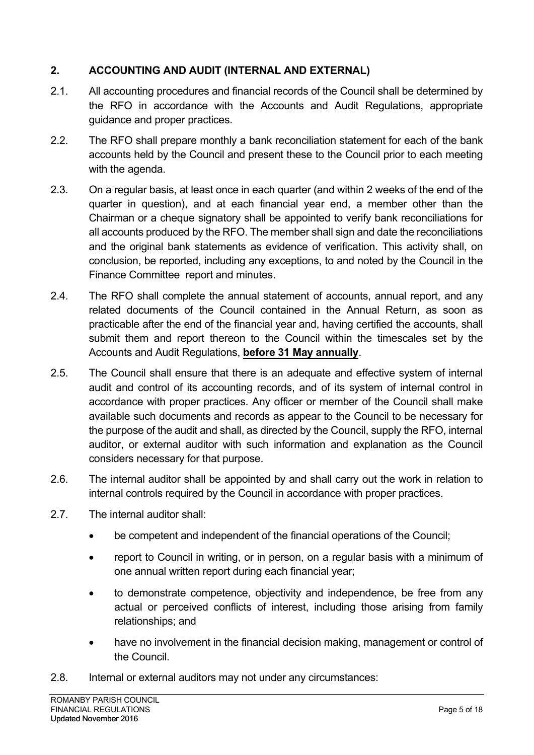## **2. ACCOUNTING AND AUDIT (INTERNAL AND EXTERNAL)**

- 2.1. All accounting procedures and financial records of the Council shall be determined by the RFO in accordance with the Accounts and Audit Regulations, appropriate guidance and proper practices.
- 2.2. The RFO shall prepare monthly a bank reconciliation statement for each of the bank accounts held by the Council and present these to the Council prior to each meeting with the agenda.
- 2.3. On a regular basis, at least once in each quarter (and within 2 weeks of the end of the quarter in question), and at each financial year end, a member other than the Chairman or a cheque signatory shall be appointed to verify bank reconciliations for all accounts produced by the RFO. The member shall sign and date the reconciliations and the original bank statements as evidence of verification. This activity shall, on conclusion, be reported, including any exceptions, to and noted by the Council in the Finance Committee report and minutes.
- 2.4. The RFO shall complete the annual statement of accounts, annual report, and any related documents of the Council contained in the Annual Return, as soon as practicable after the end of the financial year and, having certified the accounts, shall submit them and report thereon to the Council within the timescales set by the Accounts and Audit Regulations, **before 31 May annually**.
- 2.5. The Council shall ensure that there is an adequate and effective system of internal audit and control of its accounting records, and of its system of internal control in accordance with proper practices. Any officer or member of the Council shall make available such documents and records as appear to the Council to be necessary for the purpose of the audit and shall, as directed by the Council, supply the RFO, internal auditor, or external auditor with such information and explanation as the Council considers necessary for that purpose.
- 2.6. The internal auditor shall be appointed by and shall carry out the work in relation to internal controls required by the Council in accordance with proper practices.
- 2.7. The internal auditor shall:
	- be competent and independent of the financial operations of the Council;
	- report to Council in writing, or in person, on a regular basis with a minimum of one annual written report during each financial year;
	- to demonstrate competence, objectivity and independence, be free from any actual or perceived conflicts of interest, including those arising from family relationships; and
	- have no involvement in the financial decision making, management or control of the Council.
- 2.8. Internal or external auditors may not under any circumstances: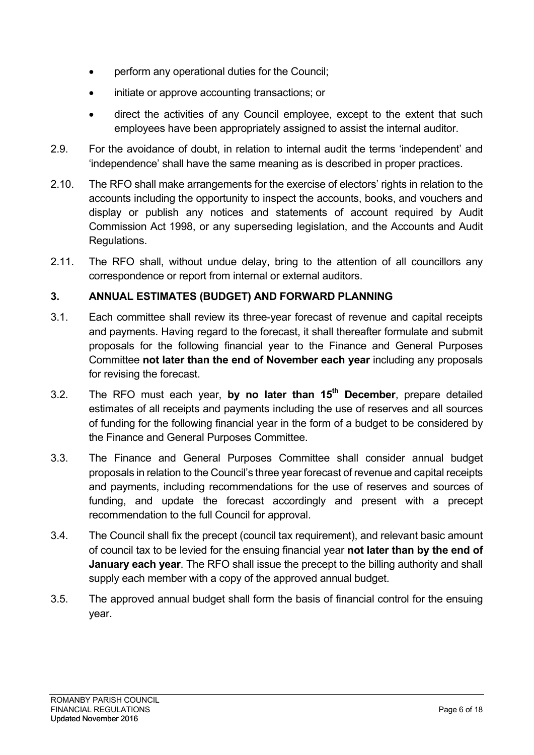- perform any operational duties for the Council;
- initiate or approve accounting transactions; or
- direct the activities of any Council employee, except to the extent that such employees have been appropriately assigned to assist the internal auditor.
- 2.9. For the avoidance of doubt, in relation to internal audit the terms 'independent' and 'independence' shall have the same meaning as is described in proper practices.
- 2.10. The RFO shall make arrangements for the exercise of electors' rights in relation to the accounts including the opportunity to inspect the accounts, books, and vouchers and display or publish any notices and statements of account required by Audit Commission Act 1998, or any superseding legislation, and the Accounts and Audit Regulations.
- 2.11. The RFO shall, without undue delay, bring to the attention of all councillors any correspondence or report from internal or external auditors.

## **3. ANNUAL ESTIMATES (BUDGET) AND FORWARD PLANNING**

- 3.1. Each committee shall review its three-year forecast of revenue and capital receipts and payments. Having regard to the forecast, it shall thereafter formulate and submit proposals for the following financial year to the Finance and General Purposes Committee **not later than the end of November each year** including any proposals for revising the forecast.
- 3.2. The RFO must each year, **by no later than 15th December**, prepare detailed estimates of all receipts and payments including the use of reserves and all sources of funding for the following financial year in the form of a budget to be considered by the Finance and General Purposes Committee.
- 3.3. The Finance and General Purposes Committee shall consider annual budget proposals in relation to the Council's three year forecast of revenue and capital receipts and payments, including recommendations for the use of reserves and sources of funding, and update the forecast accordingly and present with a precept recommendation to the full Council for approval.
- 3.4. The Council shall fix the precept (council tax requirement), and relevant basic amount of council tax to be levied for the ensuing financial year **not later than by the end of January each year**. The RFO shall issue the precept to the billing authority and shall supply each member with a copy of the approved annual budget.
- 3.5. The approved annual budget shall form the basis of financial control for the ensuing year.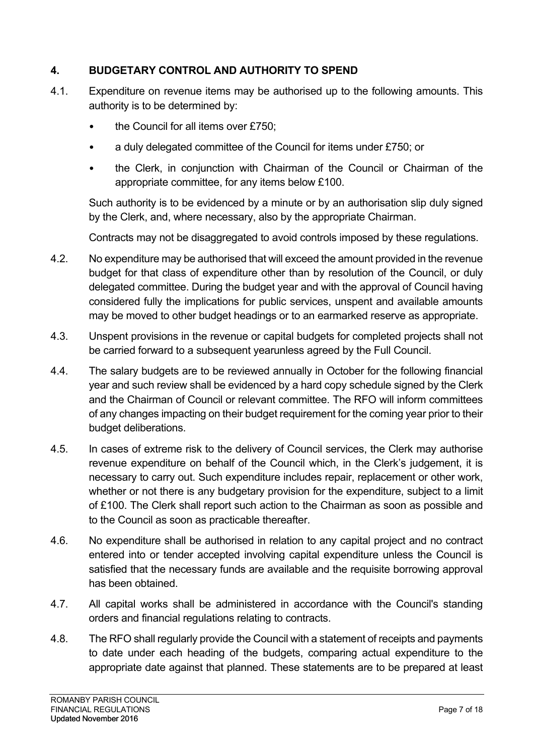### **4. BUDGETARY CONTROL AND AUTHORITY TO SPEND**

- 4.1. Expenditure on revenue items may be authorised up to the following amounts. This authority is to be determined by:
	- the Council for all items over £750;
	- a duly delegated committee of the Council for items under £750; or
	- the Clerk, in conjunction with Chairman of the Council or Chairman of the appropriate committee, for any items below £100.

Such authority is to be evidenced by a minute or by an authorisation slip duly signed by the Clerk, and, where necessary, also by the appropriate Chairman.

Contracts may not be disaggregated to avoid controls imposed by these regulations.

- 4.2. No expenditure may be authorised that will exceed the amount provided in the revenue budget for that class of expenditure other than by resolution of the Council, or duly delegated committee. During the budget year and with the approval of Council having considered fully the implications for public services, unspent and available amounts may be moved to other budget headings or to an earmarked reserve as appropriate.
- 4.3. Unspent provisions in the revenue or capital budgets for completed projects shall not be carried forward to a subsequent yearunless agreed by the Full Council.
- 4.4. The salary budgets are to be reviewed annually in October for the following financial year and such review shall be evidenced by a hard copy schedule signed by the Clerk and the Chairman of Council or relevant committee. The RFO will inform committees of any changes impacting on their budget requirement for the coming year prior to their budget deliberations.
- 4.5. In cases of extreme risk to the delivery of Council services, the Clerk may authorise revenue expenditure on behalf of the Council which, in the Clerk's judgement, it is necessary to carry out. Such expenditure includes repair, replacement or other work, whether or not there is any budgetary provision for the expenditure, subject to a limit of £100. The Clerk shall report such action to the Chairman as soon as possible and to the Council as soon as practicable thereafter.
- 4.6. No expenditure shall be authorised in relation to any capital project and no contract entered into or tender accepted involving capital expenditure unless the Council is satisfied that the necessary funds are available and the requisite borrowing approval has been obtained.
- 4.7. All capital works shall be administered in accordance with the Council's standing orders and financial regulations relating to contracts.
- 4.8. The RFO shall regularly provide the Council with a statement of receipts and payments to date under each heading of the budgets, comparing actual expenditure to the appropriate date against that planned. These statements are to be prepared at least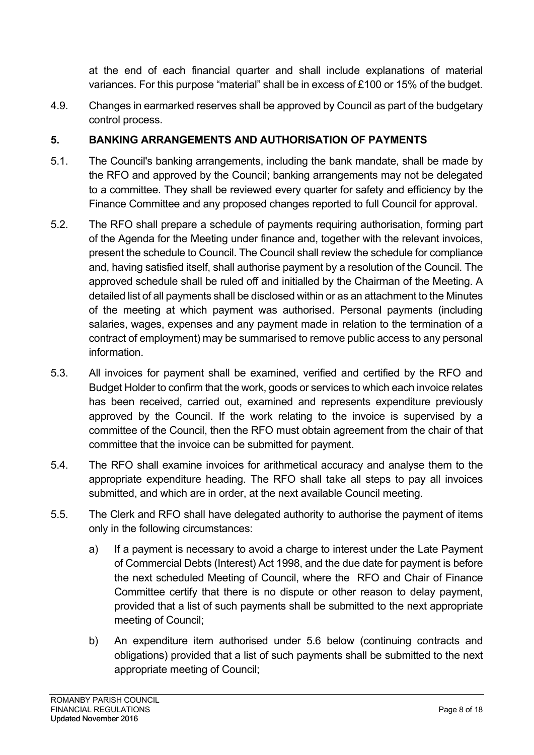at the end of each financial quarter and shall include explanations of material variances. For this purpose "material" shall be in excess of £100 or 15% of the budget.

4.9. Changes in earmarked reserves shall be approved by Council as part of the budgetary control process.

## **5. BANKING ARRANGEMENTS AND AUTHORISATION OF PAYMENTS**

- 5.1. The Council's banking arrangements, including the bank mandate, shall be made by the RFO and approved by the Council; banking arrangements may not be delegated to a committee. They shall be reviewed every quarter for safety and efficiency by the Finance Committee and any proposed changes reported to full Council for approval.
- 5.2. The RFO shall prepare a schedule of payments requiring authorisation, forming part of the Agenda for the Meeting under finance and, together with the relevant invoices, present the schedule to Council. The Council shall review the schedule for compliance and, having satisfied itself, shall authorise payment by a resolution of the Council. The approved schedule shall be ruled off and initialled by the Chairman of the Meeting. A detailed list of all payments shall be disclosed within or as an attachment to the Minutes of the meeting at which payment was authorised. Personal payments (including salaries, wages, expenses and any payment made in relation to the termination of a contract of employment) may be summarised to remove public access to any personal information.
- 5.3. All invoices for payment shall be examined, verified and certified by the RFO and Budget Holder to confirm that the work, goods or services to which each invoice relates has been received, carried out, examined and represents expenditure previously approved by the Council. If the work relating to the invoice is supervised by a committee of the Council, then the RFO must obtain agreement from the chair of that committee that the invoice can be submitted for payment.
- 5.4. The RFO shall examine invoices for arithmetical accuracy and analyse them to the appropriate expenditure heading. The RFO shall take all steps to pay all invoices submitted, and which are in order, at the next available Council meeting.
- 5.5. The Clerk and RFO shall have delegated authority to authorise the payment of items only in the following circumstances:
	- a) If a payment is necessary to avoid a charge to interest under the Late Payment of Commercial Debts (Interest) Act 1998, and the due date for payment is before the next scheduled Meeting of Council, where the RFO and Chair of Finance Committee certify that there is no dispute or other reason to delay payment, provided that a list of such payments shall be submitted to the next appropriate meeting of Council;
	- b) An expenditure item authorised under 5.6 below (continuing contracts and obligations) provided that a list of such payments shall be submitted to the next appropriate meeting of Council;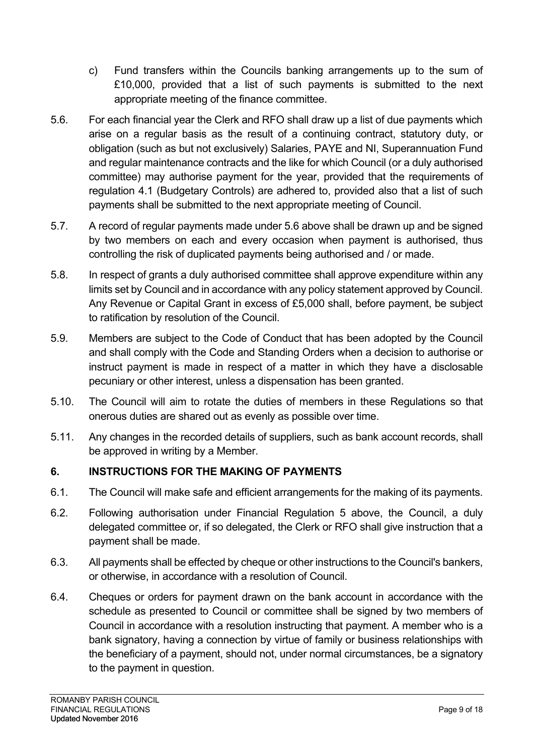- c) Fund transfers within the Councils banking arrangements up to the sum of £10,000, provided that a list of such payments is submitted to the next appropriate meeting of the finance committee.
- 5.6. For each financial year the Clerk and RFO shall draw up a list of due payments which arise on a regular basis as the result of a continuing contract, statutory duty, or obligation (such as but not exclusively) Salaries, PAYE and NI, Superannuation Fund and regular maintenance contracts and the like for which Council (or a duly authorised committee) may authorise payment for the year, provided that the requirements of regulation 4.1 (Budgetary Controls) are adhered to, provided also that a list of such payments shall be submitted to the next appropriate meeting of Council.
- 5.7. A record of regular payments made under 5.6 above shall be drawn up and be signed by two members on each and every occasion when payment is authorised, thus controlling the risk of duplicated payments being authorised and / or made.
- 5.8. In respect of grants a duly authorised committee shall approve expenditure within any limits set by Council and in accordance with any policy statement approved by Council. Any Revenue or Capital Grant in excess of £5,000 shall, before payment, be subject to ratification by resolution of the Council.
- 5.9. Members are subject to the Code of Conduct that has been adopted by the Council and shall comply with the Code and Standing Orders when a decision to authorise or instruct payment is made in respect of a matter in which they have a disclosable pecuniary or other interest, unless a dispensation has been granted.
- 5.10. The Council will aim to rotate the duties of members in these Regulations so that onerous duties are shared out as evenly as possible over time.
- 5.11. Any changes in the recorded details of suppliers, such as bank account records, shall be approved in writing by a Member.

## **6. INSTRUCTIONS FOR THE MAKING OF PAYMENTS**

- 6.1. The Council will make safe and efficient arrangements for the making of its payments.
- 6.2. Following authorisation under Financial Regulation 5 above, the Council, a duly delegated committee or, if so delegated, the Clerk or RFO shall give instruction that a payment shall be made.
- 6.3. All payments shall be effected by cheque or other instructions to the Council's bankers, or otherwise, in accordance with a resolution of Council.
- 6.4. Cheques or orders for payment drawn on the bank account in accordance with the schedule as presented to Council or committee shall be signed by two members of Council in accordance with a resolution instructing that payment. A member who is a bank signatory, having a connection by virtue of family or business relationships with the beneficiary of a payment, should not, under normal circumstances, be a signatory to the payment in question.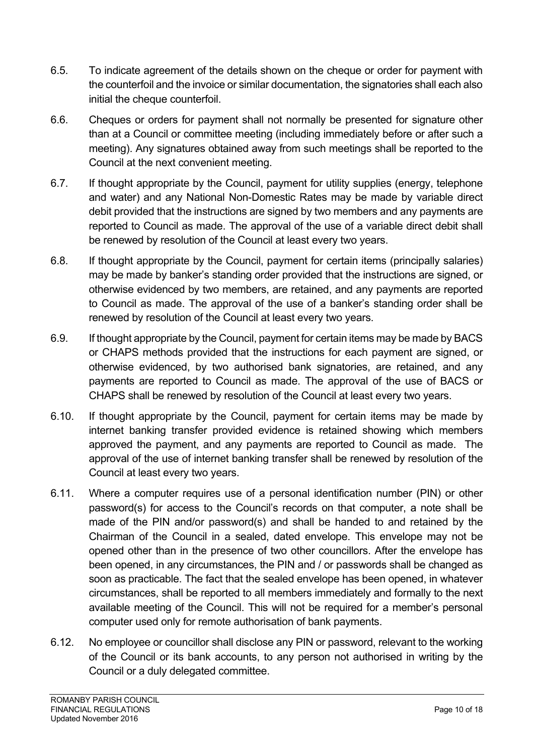- 6.5. To indicate agreement of the details shown on the cheque or order for payment with the counterfoil and the invoice or similar documentation, the signatories shall each also initial the cheque counterfoil.
- 6.6. Cheques or orders for payment shall not normally be presented for signature other than at a Council or committee meeting (including immediately before or after such a meeting). Any signatures obtained away from such meetings shall be reported to the Council at the next convenient meeting.
- 6.7. If thought appropriate by the Council, payment for utility supplies (energy, telephone and water) and any National Non-Domestic Rates may be made by variable direct debit provided that the instructions are signed by two members and any payments are reported to Council as made. The approval of the use of a variable direct debit shall be renewed by resolution of the Council at least every two years.
- 6.8. If thought appropriate by the Council, payment for certain items (principally salaries) may be made by banker's standing order provided that the instructions are signed, or otherwise evidenced by two members, are retained, and any payments are reported to Council as made. The approval of the use of a banker's standing order shall be renewed by resolution of the Council at least every two years.
- 6.9. If thought appropriate by the Council, payment for certain items may be made by BACS or CHAPS methods provided that the instructions for each payment are signed, or otherwise evidenced, by two authorised bank signatories, are retained, and any payments are reported to Council as made. The approval of the use of BACS or CHAPS shall be renewed by resolution of the Council at least every two years.
- 6.10. If thought appropriate by the Council, payment for certain items may be made by internet banking transfer provided evidence is retained showing which members approved the payment, and any payments are reported to Council as made. The approval of the use of internet banking transfer shall be renewed by resolution of the Council at least every two years.
- 6.11. Where a computer requires use of a personal identification number (PIN) or other password(s) for access to the Council's records on that computer, a note shall be made of the PIN and/or password(s) and shall be handed to and retained by the Chairman of the Council in a sealed, dated envelope. This envelope may not be opened other than in the presence of two other councillors. After the envelope has been opened, in any circumstances, the PIN and / or passwords shall be changed as soon as practicable. The fact that the sealed envelope has been opened, in whatever circumstances, shall be reported to all members immediately and formally to the next available meeting of the Council. This will not be required for a member's personal computer used only for remote authorisation of bank payments.
- 6.12. No employee or councillor shall disclose any PIN or password, relevant to the working of the Council or its bank accounts, to any person not authorised in writing by the Council or a duly delegated committee.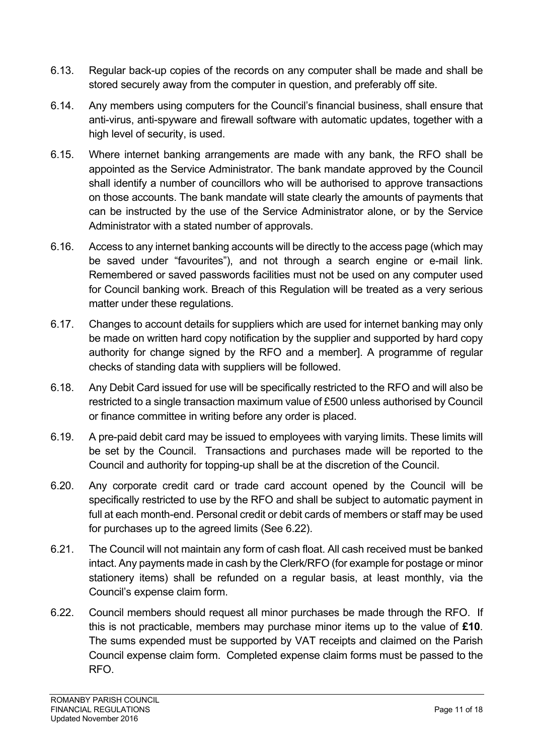- 6.13. Regular back-up copies of the records on any computer shall be made and shall be stored securely away from the computer in question, and preferably off site.
- 6.14. Any members using computers for the Council's financial business, shall ensure that anti-virus, anti-spyware and firewall software with automatic updates, together with a high level of security, is used.
- 6.15. Where internet banking arrangements are made with any bank, the RFO shall be appointed as the Service Administrator. The bank mandate approved by the Council shall identify a number of councillors who will be authorised to approve transactions on those accounts. The bank mandate will state clearly the amounts of payments that can be instructed by the use of the Service Administrator alone, or by the Service Administrator with a stated number of approvals.
- 6.16. Access to any internet banking accounts will be directly to the access page (which may be saved under "favourites"), and not through a search engine or e-mail link. Remembered or saved passwords facilities must not be used on any computer used for Council banking work. Breach of this Regulation will be treated as a very serious matter under these regulations.
- 6.17. Changes to account details for suppliers which are used for internet banking may only be made on written hard copy notification by the supplier and supported by hard copy authority for change signed by the RFO and a member]. A programme of regular checks of standing data with suppliers will be followed.
- 6.18. Any Debit Card issued for use will be specifically restricted to the RFO and will also be restricted to a single transaction maximum value of £500 unless authorised by Council or finance committee in writing before any order is placed.
- 6.19. A pre-paid debit card may be issued to employees with varying limits. These limits will be set by the Council. Transactions and purchases made will be reported to the Council and authority for topping-up shall be at the discretion of the Council.
- 6.20. Any corporate credit card or trade card account opened by the Council will be specifically restricted to use by the RFO and shall be subject to automatic payment in full at each month-end. Personal credit or debit cards of members or staff may be used for purchases up to the agreed limits (See 6.22).
- 6.21. The Council will not maintain any form of cash float. All cash received must be banked intact. Any payments made in cash by the Clerk/RFO (for example for postage or minor stationery items) shall be refunded on a regular basis, at least monthly, via the Council's expense claim form.
- 6.22. Council members should request all minor purchases be made through the RFO. If this is not practicable, members may purchase minor items up to the value of **£10**. The sums expended must be supported by VAT receipts and claimed on the Parish Council expense claim form. Completed expense claim forms must be passed to the RFO.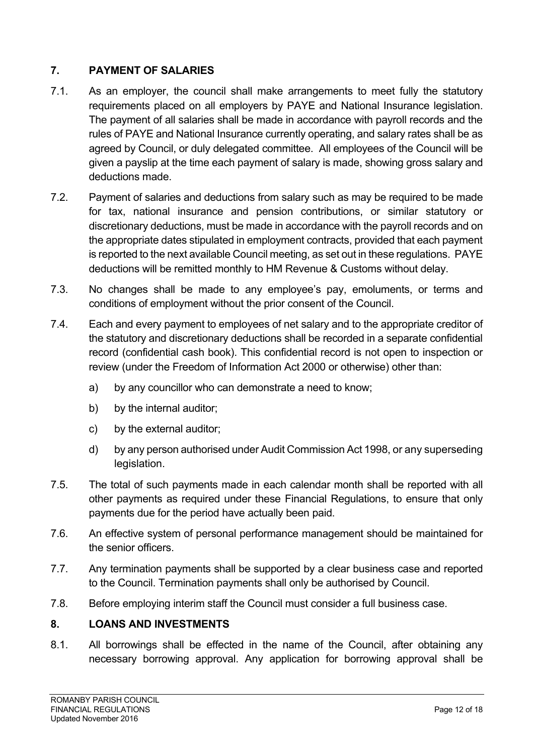## **7. PAYMENT OF SALARIES**

- 7.1. As an employer, the council shall make arrangements to meet fully the statutory requirements placed on all employers by PAYE and National Insurance legislation. The payment of all salaries shall be made in accordance with payroll records and the rules of PAYE and National Insurance currently operating, and salary rates shall be as agreed by Council, or duly delegated committee. All employees of the Council will be given a payslip at the time each payment of salary is made, showing gross salary and deductions made.
- 7.2. Payment of salaries and deductions from salary such as may be required to be made for tax, national insurance and pension contributions, or similar statutory or discretionary deductions, must be made in accordance with the payroll records and on the appropriate dates stipulated in employment contracts, provided that each payment is reported to the next available Council meeting, as set out in these regulations. PAYE deductions will be remitted monthly to HM Revenue & Customs without delay.
- 7.3. No changes shall be made to any employee's pay, emoluments, or terms and conditions of employment without the prior consent of the Council.
- 7.4. Each and every payment to employees of net salary and to the appropriate creditor of the statutory and discretionary deductions shall be recorded in a separate confidential record (confidential cash book). This confidential record is not open to inspection or review (under the Freedom of Information Act 2000 or otherwise) other than:
	- a) by any councillor who can demonstrate a need to know;
	- b) by the internal auditor;
	- c) by the external auditor;
	- d) by any person authorised under Audit Commission Act 1998, or any superseding legislation.
- 7.5. The total of such payments made in each calendar month shall be reported with all other payments as required under these Financial Regulations, to ensure that only payments due for the period have actually been paid.
- 7.6. An effective system of personal performance management should be maintained for the senior officers.
- 7.7. Any termination payments shall be supported by a clear business case and reported to the Council. Termination payments shall only be authorised by Council.
- 7.8. Before employing interim staff the Council must consider a full business case.

## **8. LOANS AND INVESTMENTS**

8.1. All borrowings shall be effected in the name of the Council, after obtaining any necessary borrowing approval. Any application for borrowing approval shall be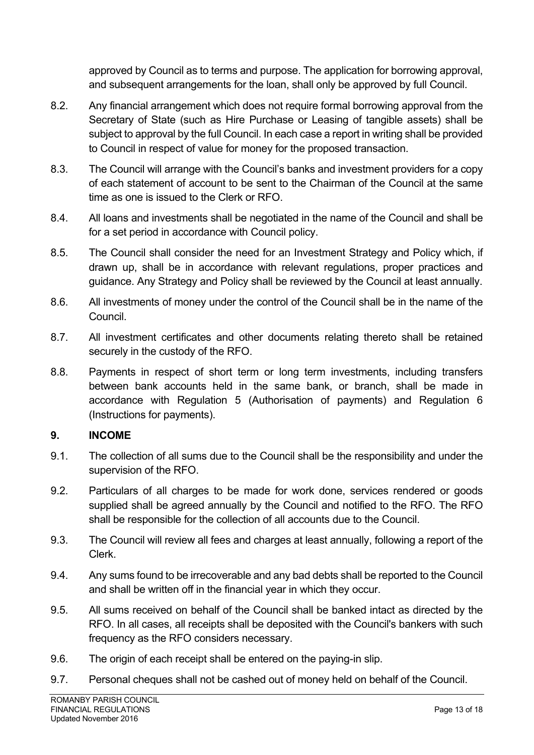approved by Council as to terms and purpose. The application for borrowing approval, and subsequent arrangements for the loan, shall only be approved by full Council.

- 8.2. Any financial arrangement which does not require formal borrowing approval from the Secretary of State (such as Hire Purchase or Leasing of tangible assets) shall be subject to approval by the full Council. In each case a report in writing shall be provided to Council in respect of value for money for the proposed transaction.
- 8.3. The Council will arrange with the Council's banks and investment providers for a copy of each statement of account to be sent to the Chairman of the Council at the same time as one is issued to the Clerk or RFO.
- 8.4. All loans and investments shall be negotiated in the name of the Council and shall be for a set period in accordance with Council policy.
- 8.5. The Council shall consider the need for an Investment Strategy and Policy which, if drawn up, shall be in accordance with relevant regulations, proper practices and guidance. Any Strategy and Policy shall be reviewed by the Council at least annually.
- 8.6. All investments of money under the control of the Council shall be in the name of the Council.
- 8.7. All investment certificates and other documents relating thereto shall be retained securely in the custody of the RFO.
- 8.8. Payments in respect of short term or long term investments, including transfers between bank accounts held in the same bank, or branch, shall be made in accordance with Regulation 5 (Authorisation of payments) and Regulation 6 (Instructions for payments).

#### **9. INCOME**

- 9.1. The collection of all sums due to the Council shall be the responsibility and under the supervision of the RFO.
- 9.2. Particulars of all charges to be made for work done, services rendered or goods supplied shall be agreed annually by the Council and notified to the RFO. The RFO shall be responsible for the collection of all accounts due to the Council.
- 9.3. The Council will review all fees and charges at least annually, following a report of the Clerk.
- 9.4. Any sums found to be irrecoverable and any bad debts shall be reported to the Council and shall be written off in the financial year in which they occur.
- 9.5. All sums received on behalf of the Council shall be banked intact as directed by the RFO. In all cases, all receipts shall be deposited with the Council's bankers with such frequency as the RFO considers necessary.
- 9.6. The origin of each receipt shall be entered on the paying-in slip.
- 9.7. Personal cheques shall not be cashed out of money held on behalf of the Council.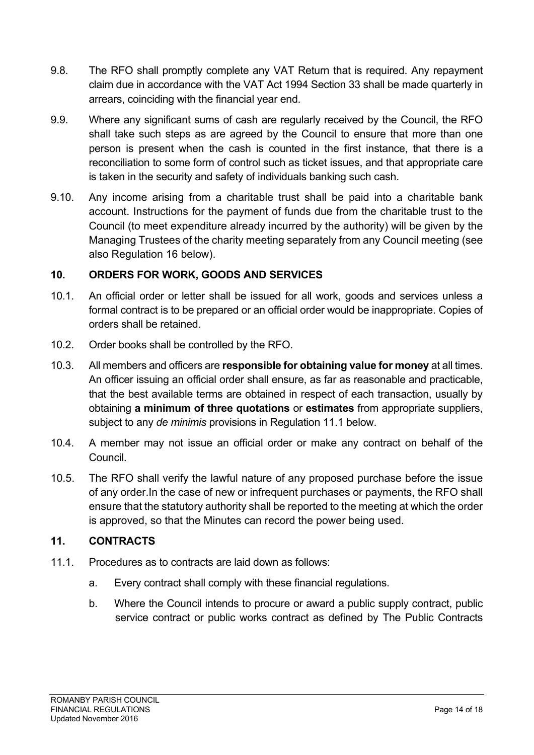- 9.8. The RFO shall promptly complete any VAT Return that is required. Any repayment claim due in accordance with the VAT Act 1994 Section 33 shall be made quarterly in arrears, coinciding with the financial year end.
- 9.9. Where any significant sums of cash are regularly received by the Council, the RFO shall take such steps as are agreed by the Council to ensure that more than one person is present when the cash is counted in the first instance, that there is a reconciliation to some form of control such as ticket issues, and that appropriate care is taken in the security and safety of individuals banking such cash.
- 9.10. Any income arising from a charitable trust shall be paid into a charitable bank account. Instructions for the payment of funds due from the charitable trust to the Council (to meet expenditure already incurred by the authority) will be given by the Managing Trustees of the charity meeting separately from any Council meeting (see also Regulation 16 below).

#### **10. ORDERS FOR WORK, GOODS AND SERVICES**

- 10.1. An official order or letter shall be issued for all work, goods and services unless a formal contract is to be prepared or an official order would be inappropriate. Copies of orders shall be retained.
- 10.2. Order books shall be controlled by the RFO.
- 10.3. All members and officers are **responsible for obtaining value for money** at all times. An officer issuing an official order shall ensure, as far as reasonable and practicable, that the best available terms are obtained in respect of each transaction, usually by obtaining **a minimum of three quotations** or **estimates** from appropriate suppliers, subject to any *de minimis* provisions in Regulation 11.1 below.
- 10.4. A member may not issue an official order or make any contract on behalf of the Council.
- 10.5. The RFO shall verify the lawful nature of any proposed purchase before the issue of any order.In the case of new or infrequent purchases or payments, the RFO shall ensure that the statutory authority shall be reported to the meeting at which the order is approved, so that the Minutes can record the power being used.

#### **11. CONTRACTS**

- 11.1. Procedures as to contracts are laid down as follows:
	- a. Every contract shall comply with these financial regulations.
	- b. Where the Council intends to procure or award a public supply contract, public service contract or public works contract as defined by The Public Contracts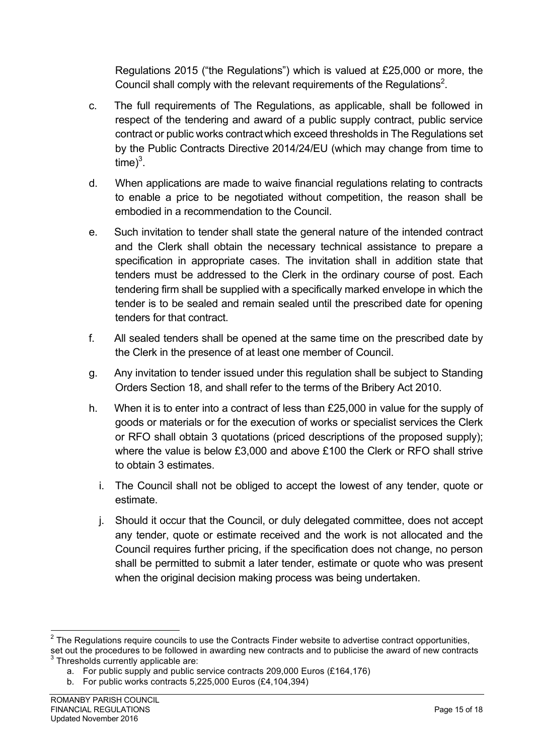Regulations 2015 ("the Regulations") which is valued at £25,000 or more, the Council shall comply with the relevant requirements of the Regulations<sup>2</sup>.

- c. The full requirements of The Regulations, as applicable, shall be followed in respect of the tendering and award of a public supply contract, public service contract or public works contractwhich exceed thresholds in The Regulations set by the Public Contracts Directive 2014/24/EU (which may change from time to  $time)^3$ .
- d. When applications are made to waive financial regulations relating to contracts to enable a price to be negotiated without competition, the reason shall be embodied in a recommendation to the Council.
- e. Such invitation to tender shall state the general nature of the intended contract and the Clerk shall obtain the necessary technical assistance to prepare a specification in appropriate cases. The invitation shall in addition state that tenders must be addressed to the Clerk in the ordinary course of post. Each tendering firm shall be supplied with a specifically marked envelope in which the tender is to be sealed and remain sealed until the prescribed date for opening tenders for that contract.
- f. All sealed tenders shall be opened at the same time on the prescribed date by the Clerk in the presence of at least one member of Council.
- g. Any invitation to tender issued under this regulation shall be subject to Standing Orders Section 18, and shall refer to the terms of the Bribery Act 2010.
- h. When it is to enter into a contract of less than £25,000 in value for the supply of goods or materials or for the execution of works or specialist services the Clerk or RFO shall obtain 3 quotations (priced descriptions of the proposed supply); where the value is below £3,000 and above £100 the Clerk or RFO shall strive to obtain 3 estimates.
	- i. The Council shall not be obliged to accept the lowest of any tender, quote or estimate.
	- j. Should it occur that the Council, or duly delegated committee, does not accept any tender, quote or estimate received and the work is not allocated and the Council requires further pricing, if the specification does not change, no person shall be permitted to submit a later tender, estimate or quote who was present when the original decision making process was being undertaken.

 $2$  The Regulations require councils to use the Contracts Finder website to advertise contract opportunities, set out the procedures to be followed in awarding new contracts and to publicise the award of new contracts  $3$  Thresholds currently applicable are:

a. For public supply and public service contracts 209,000 Euros (£164,176)

b. For public works contracts 5,225,000 Euros (£4,104,394)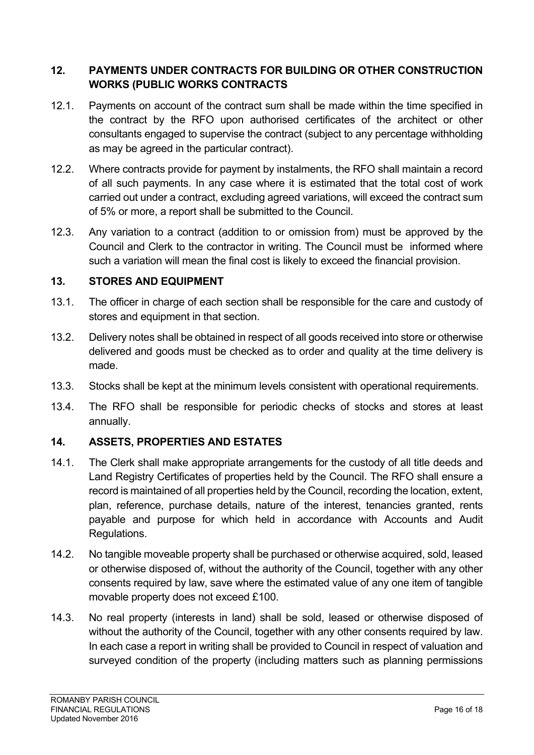## **12. PAYMENTS UNDER CONTRACTS FOR BUILDING OR OTHER CONSTRUCTION WORKS (PUBLIC WORKS CONTRACTS**

- 12.1. Payments on account of the contract sum shall be made within the time specified in the contract by the RFO upon authorised certificates of the architect or other consultants engaged to supervise the contract (subject to any percentage withholding as may be agreed in the particular contract).
- 12.2. Where contracts provide for payment by instalments, the RFO shall maintain a record of all such payments. In any case where it is estimated that the total cost of work carried out under a contract, excluding agreed variations, will exceed the contract sum of 5% or more, a report shall be submitted to the Council.
- 12.3. Any variation to a contract (addition to or omission from) must be approved by the Council and Clerk to the contractor in writing. The Council must be informed where such a variation will mean the final cost is likely to exceed the financial provision.

#### **13. STORES AND EQUIPMENT**

- 13.1. The officer in charge of each section shall be responsible for the care and custody of stores and equipment in that section.
- 13.2. Delivery notes shall be obtained in respect of all goods received into store or otherwise delivered and goods must be checked as to order and quality at the time delivery is made.
- 13.3. Stocks shall be kept at the minimum levels consistent with operational requirements.
- 13.4. The RFO shall be responsible for periodic checks of stocks and stores at least annually.

## **14. ASSETS, PROPERTIES AND ESTATES**

- 14.1. The Clerk shall make appropriate arrangements for the custody of all title deeds and Land Registry Certificates of properties held by the Council. The RFO shall ensure a record is maintained of all properties held by the Council, recording the location, extent, plan, reference, purchase details, nature of the interest, tenancies granted, rents payable and purpose for which held in accordance with Accounts and Audit Regulations.
- 14.2. No tangible moveable property shall be purchased or otherwise acquired, sold, leased or otherwise disposed of, without the authority of the Council, together with any other consents required by law, save where the estimated value of any one item of tangible movable property does not exceed £100.
- 14.3. No real property (interests in land) shall be sold, leased or otherwise disposed of without the authority of the Council, together with any other consents required by law. In each case a report in writing shall be provided to Council in respect of valuation and surveyed condition of the property (including matters such as planning permissions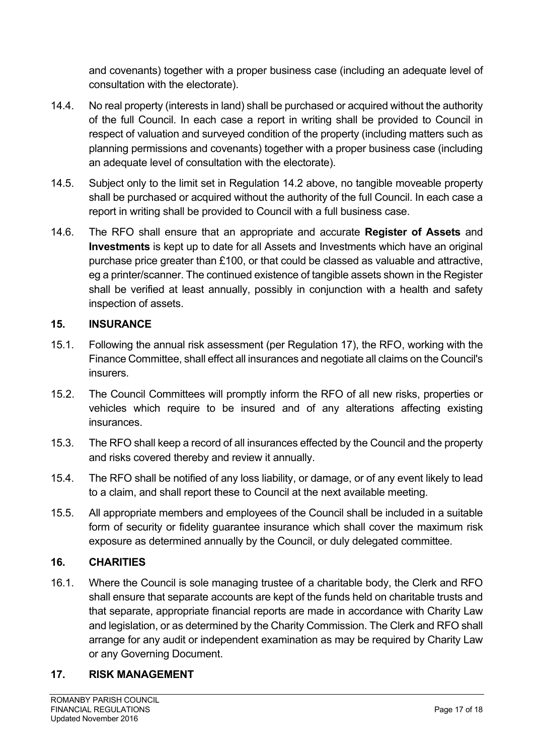and covenants) together with a proper business case (including an adequate level of consultation with the electorate).

- 14.4. No real property (interests in land) shall be purchased or acquired without the authority of the full Council. In each case a report in writing shall be provided to Council in respect of valuation and surveyed condition of the property (including matters such as planning permissions and covenants) together with a proper business case (including an adequate level of consultation with the electorate).
- 14.5. Subject only to the limit set in Regulation 14.2 above, no tangible moveable property shall be purchased or acquired without the authority of the full Council. In each case a report in writing shall be provided to Council with a full business case.
- 14.6. The RFO shall ensure that an appropriate and accurate **Register of Assets** and **Investments** is kept up to date for all Assets and Investments which have an original purchase price greater than £100, or that could be classed as valuable and attractive, eg a printer/scanner. The continued existence of tangible assets shown in the Register shall be verified at least annually, possibly in conjunction with a health and safety inspection of assets.

#### **15. INSURANCE**

- 15.1. Following the annual risk assessment (per Regulation 17), the RFO, working with the Finance Committee, shall effect all insurances and negotiate all claims on the Council's insurers.
- 15.2. The Council Committees will promptly inform the RFO of all new risks, properties or vehicles which require to be insured and of any alterations affecting existing insurances.
- 15.3. The RFO shall keep a record of all insurances effected by the Council and the property and risks covered thereby and review it annually.
- 15.4. The RFO shall be notified of any loss liability, or damage, or of any event likely to lead to a claim, and shall report these to Council at the next available meeting.
- 15.5. All appropriate members and employees of the Council shall be included in a suitable form of security or fidelity guarantee insurance which shall cover the maximum risk exposure as determined annually by the Council, or duly delegated committee.

## **16. CHARITIES**

16.1. Where the Council is sole managing trustee of a charitable body, the Clerk and RFO shall ensure that separate accounts are kept of the funds held on charitable trusts and that separate, appropriate financial reports are made in accordance with Charity Law and legislation, or as determined by the Charity Commission. The Clerk and RFO shall arrange for any audit or independent examination as may be required by Charity Law or any Governing Document.

#### **17. RISK MANAGEMENT**